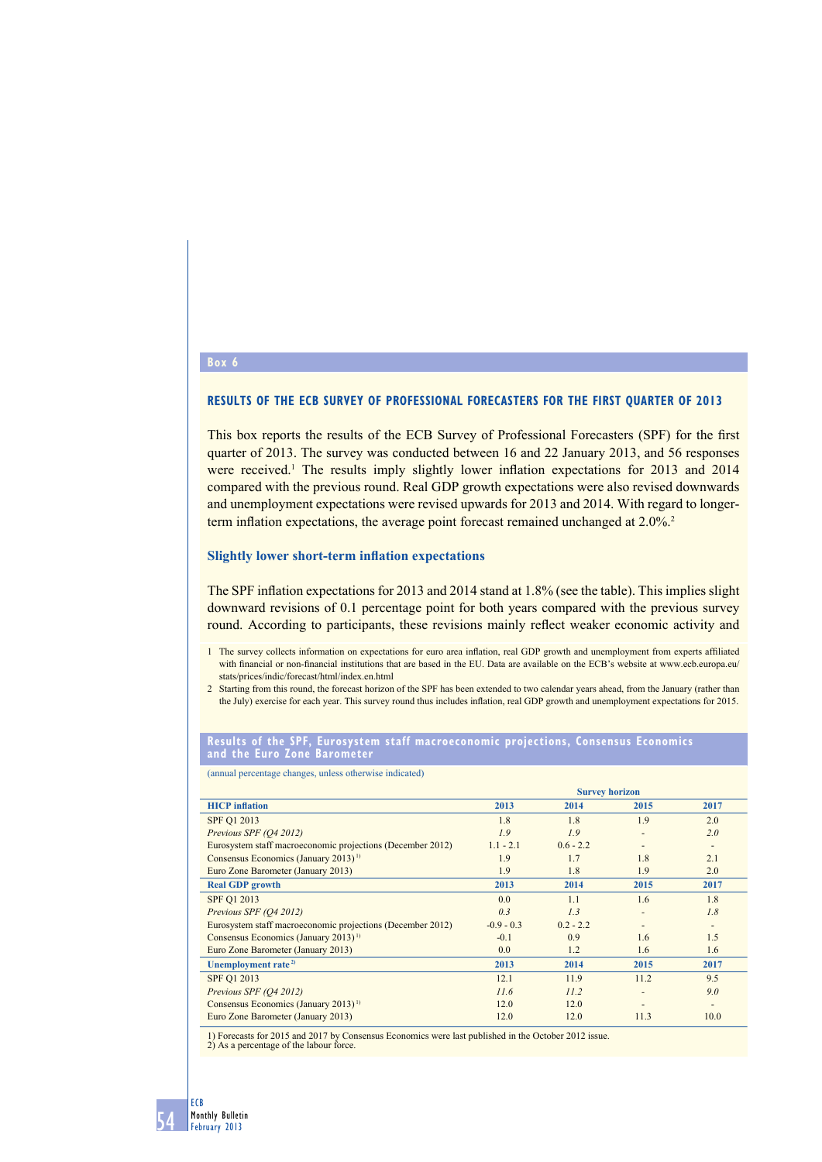# **RESULTS OF THE ECB SURVEY OF PROFESSIONAL FORECASTERS FOR THE FIRST QUARTER OF 2013**

This box reports the results of the ECB Survey of Professional Forecasters (SPF) for the first quarter of 2013. The survey was conducted between 16 and 22 January 2013, and 56 responses were received.<sup>1</sup> The results imply slightly lower inflation expectations for 2013 and 2014 compared with the previous round. Real GDP growth expectations were also revised downwards and unemployment expectations were revised upwards for 2013 and 2014. With regard to longerterm inflation expectations, the average point forecast remained unchanged at 2.0%.<sup>2</sup>

### **Slightly lower short-term inflation expectations**

The SPF inflation expectations for 2013 and 2014 stand at 1.8% (see the table). This implies slight downward revisions of 0.1 percentage point for both years compared with the previous survey round. According to participants, these revisions mainly reflect weaker economic activity and

#### **results of the SPF, eurosystem staff macroeconomic projections, Consensus economics and the euro Zone barometer**

(annual percentage changes, unless otherwise indicated)

|                                                            | <b>Survey horizon</b> |             |      |                          |
|------------------------------------------------------------|-----------------------|-------------|------|--------------------------|
| <b>HICP</b> inflation                                      | 2013                  | 2014        | 2015 | 2017                     |
| SPF Q1 2013                                                | 1.8                   | 1.8         | 1.9  | 2.0                      |
| Previous SPF (O4 2012)                                     | 1.9                   | 1.9         |      | 2.0                      |
| Eurosystem staff macroeconomic projections (December 2012) | $1.1 - 2.1$           | $0.6 - 2.2$ |      | $\overline{\phantom{a}}$ |
| Consensus Economics (January 2013) <sup>1)</sup>           | 1.9                   | 1.7         | 1.8  | 2.1                      |
| Euro Zone Barometer (January 2013)                         | 1.9                   | 1.8         | 1.9  | 2.0                      |
| <b>Real GDP</b> growth                                     | 2013                  | 2014        | 2015 | 2017                     |
| SPF Q1 2013                                                | 0.0                   | 1.1         | 1.6  | 1.8                      |
| Previous SPF (O4 2012)                                     | 0.3                   | 1.3         |      | 1.8                      |
| Eurosystem staff macroeconomic projections (December 2012) | $-0.9 - 0.3$          | $0.2 - 2.2$ |      | ٠                        |
| Consensus Economics (January 2013) <sup>1)</sup>           | $-0.1$                | 0.9         | 1.6  | 1.5                      |
| Euro Zone Barometer (January 2013)                         | 0.0                   | 1.2         | 1.6  | 1.6                      |
| Unemployment rate <sup>2)</sup>                            | 2013                  | 2014        | 2015 | 2017                     |
| SPF Q1 2013                                                | 12.1                  | 11.9        | 11.2 | 9.5                      |
| Previous SPF (O4 2012)                                     | 11.6                  | 11.2        |      | 9.0                      |
| Consensus Economics (January 2013) <sup>1)</sup>           | 12.0                  | 12.0        |      | ٠                        |
| Euro Zone Barometer (January 2013)                         | 12.0                  | 12.0        | 11.3 | 10.0                     |

1) Forecasts for 2015 and 2017 by Consensus Economics were last published in the October 2012 issue. 2) As a percentage of the labour force.

February 2013

**Box 6**

54

<sup>1</sup> The survey collects information on expectations for euro area inflation, real GDP growth and unemployment from experts affiliated with financial or non-financial institutions that are based in the EU. Data are available on the ECB's website at www.ecb.europa.eu/ stats/prices/indic/forecast/html/index.en.html

<sup>2</sup> Starting from this round, the forecast horizon of the SPF has been extended to two calendar years ahead, from the January (rather than the July) exercise for each year. This survey round thus includes inflation, real GDP growth and unemployment expectations for 2015.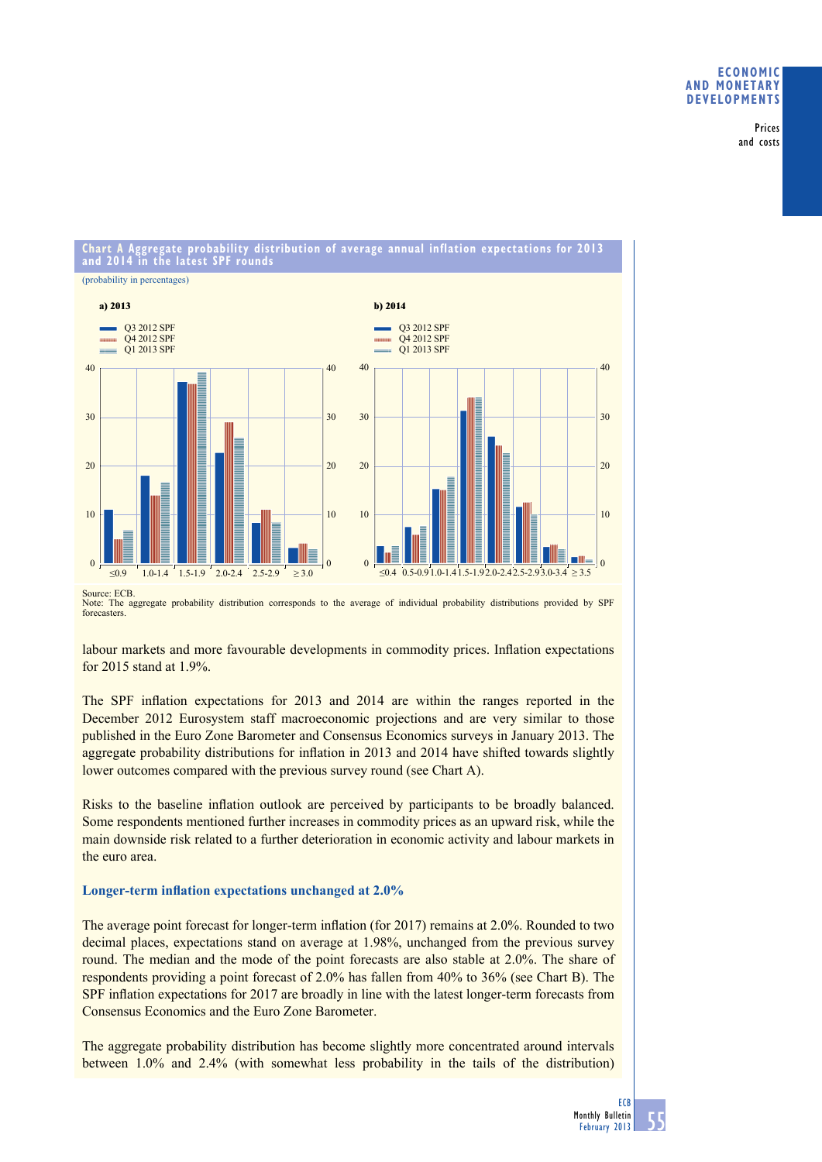# **eConomiC and monetary deVeloPmentS**

Prices and costs

#### **Chart a aggregate probability distribution of average annual inflation expectations for 2013 and 2014 in the latest SPF rounds**



Note: The aggregate probability distribution corresponds to the average of individual probability distributions provided by SPF forecasters.

labour markets and more favourable developments in commodity prices. Inflation expectations for 2015 stand at 1.9%.

The SPF inflation expectations for 2013 and 2014 are within the ranges reported in the December 2012 Eurosystem staff macroeconomic projections and are very similar to those published in the Euro Zone Barometer and Consensus Economics surveys in January 2013. The aggregate probability distributions for inflation in 2013 and 2014 have shifted towards slightly lower outcomes compared with the previous survey round (see Chart A).

Risks to the baseline inflation outlook are perceived by participants to be broadly balanced. Some respondents mentioned further increases in commodity prices as an upward risk, while the main downside risk related to a further deterioration in economic activity and labour markets in the euro area.

# **Longer-term inflation expectations unchanged at 2.0%**

The average point forecast for longer-term inflation (for 2017) remains at  $2.0\%$ . Rounded to two decimal places, expectations stand on average at 1.98%, unchanged from the previous survey round. The median and the mode of the point forecasts are also stable at 2.0%. The share of respondents providing a point forecast of 2.0% has fallen from 40% to 36% (see Chart B). The SPF inflation expectations for 2017 are broadly in line with the latest longer-term forecasts from Consensus Economics and the Euro Zone Barometer.

The aggregate probability distribution has become slightly more concentrated around intervals between 1.0% and 2.4% (with somewhat less probability in the tails of the distribution)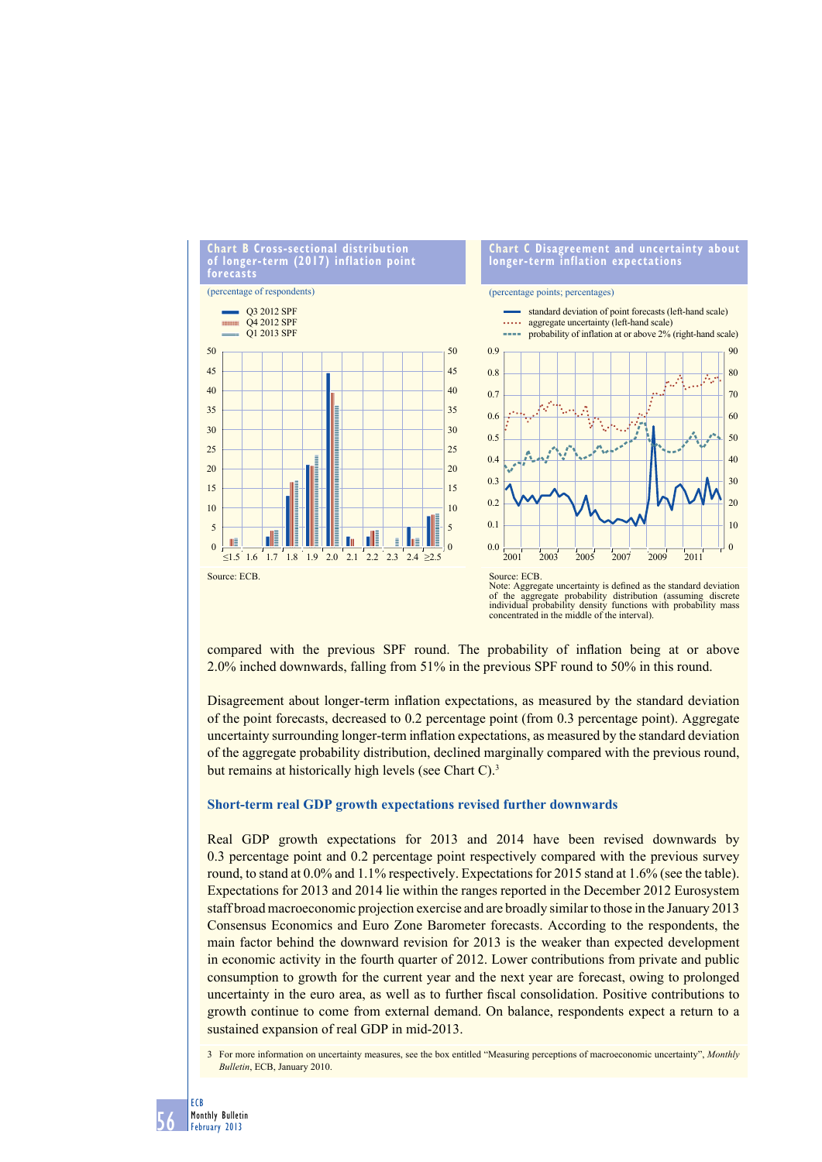

compared with the previous SPF round. The probability of inflation being at or above 2.0% inched downwards, falling from 51% in the previous SPF round to 50% in this round.

Disagreement about longer-term inflation expectations, as measured by the standard deviation of the point forecasts, decreased to 0.2 percentage point (from 0.3 percentage point). Aggregate uncertainty surrounding longer-term inflation expectations, as measured by the standard deviation of the aggregate probability distribution, declined marginally compared with the previous round, but remains at historically high levels (see Chart C).<sup>3</sup>

#### **Short-term real GDP growth expectations revised further downwards**

Real GDP growth expectations for 2013 and 2014 have been revised downwards by 0.3 percentage point and 0.2 percentage point respectively compared with the previous survey round, to stand at 0.0% and 1.1% respectively. Expectations for 2015 stand at 1.6% (see the table). Expectations for 2013 and 2014 lie within the ranges reported in the December 2012 Eurosystem staff broad macroeconomic projection exercise and are broadly similar to those in the January 2013 Consensus Economics and Euro Zone Barometer forecasts. According to the respondents, the main factor behind the downward revision for 2013 is the weaker than expected development in economic activity in the fourth quarter of 2012. Lower contributions from private and public consumption to growth for the current year and the next year are forecast, owing to prolonged uncertainty in the euro area, as well as to further fiscal consolidation. Positive contributions to growth continue to come from external demand. On balance, respondents expect a return to a sustained expansion of real GDP in mid-2013.

3 For more information on uncertainty measures, see the box entitled "Measuring perceptions of macroeconomic uncertainty", *Monthly Bulletin*, ECB, January 2010.

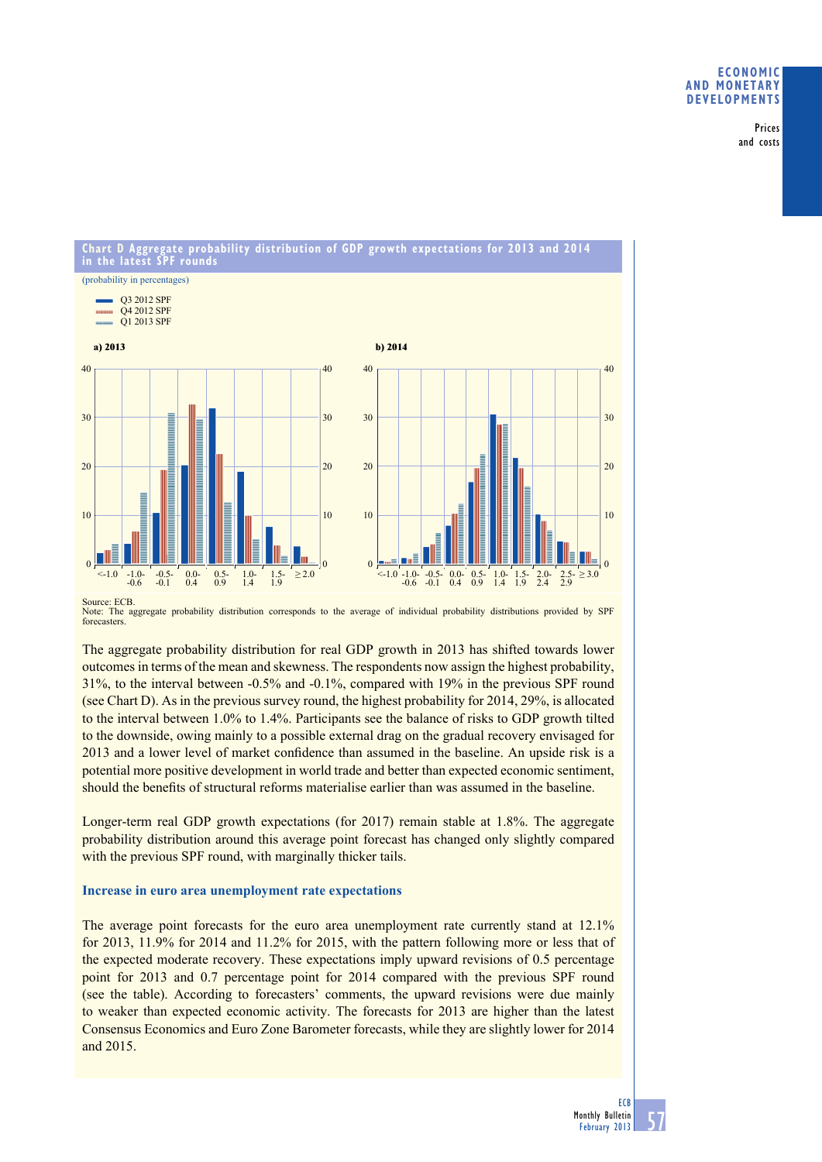# **eConomiC and monetary deVeloPmentS**

Prices and costs

#### **Chart d aggregate probability distribution of GdP growth expectations for 2013 and 2014 in the latest SPF rounds** (probability in percentages) Q3 2012 SPF Q4 2012 SPF mono Q1 2013 SPF **a) 2013 b) 2014**  $40$ 40  $\overline{40}$  $40$ 30 30 30 30  $20$  $20$  $20$  $20$ 10 10 10 10 <-1.0 -1.0-  $\blacksquare$  $\blacksquare$ 0.5 | 1.05 | 1.00 | 1.5- ≥ 2.00 | 1.5- ≥ 2.00 | 2.00 | 2.00 | 2.00 | 2.00 | 2.00 | 2.00 | 2.00 | 2.00 | 2.00 | -0.6 -0.1 <u>ni je </u> 0.9 1.4 1.9  $\Omega$  $\Omega$  $\overline{0}$ 0  $\geq 3.0$  $\begin{array}{ccc} 0.5 & 1.0 & 1.5 \\ 0.9 & 1.4 & 1.9 \end{array} \ge 2.0$  $\leq$  1.0  $-1.0$ <br>-0.6  $-0.5-0.1$  $0.0 - 0.4$  $\leq$  1.0  $-1.0$ <br> $-0.6$  $-0.5-0.1$ 0.0-  $0.5 - 0.9$ 1.0- 1.4 1.5- 1.9 2.0- 2.5- 2.9  $1.5$ 0.4 2.4

Source: ECB. Note: The aggregate probability distribution corresponds to the average of individual probability distributions provided by SPF forecasters.

The aggregate probability distribution for real GDP growth in 2013 has shifted towards lower outcomes in terms of the mean and skewness. The respondents now assign the highest probability, 31%, to the interval between -0.5% and -0.1%, compared with 19% in the previous SPF round (see Chart D). As in the previous survey round, the highest probability for 2014, 29%, is allocated to the interval between 1.0% to 1.4%. Participants see the balance of risks to GDP growth tilted to the downside, owing mainly to a possible external drag on the gradual recovery envisaged for 2013 and a lower level of market confidence than assumed in the baseline. An upside risk is a potential more positive development in world trade and better than expected economic sentiment, should the benefits of structural reforms materialise earlier than was assumed in the baseline.

Longer-term real GDP growth expectations (for 2017) remain stable at 1.8%. The aggregate probability distribution around this average point forecast has changed only slightly compared with the previous SPF round, with marginally thicker tails.

# **Increase in euro area unemployment rate expectations**

The average point forecasts for the euro area unemployment rate currently stand at 12.1% for 2013, 11.9% for 2014 and 11.2% for 2015, with the pattern following more or less that of the expected moderate recovery. These expectations imply upward revisions of 0.5 percentage point for 2013 and 0.7 percentage point for 2014 compared with the previous SPF round (see the table). According to forecasters' comments, the upward revisions were due mainly to weaker than expected economic activity. The forecasts for 2013 are higher than the latest Consensus Economics and Euro Zone Barometer forecasts, while they are slightly lower for 2014 and 2015.